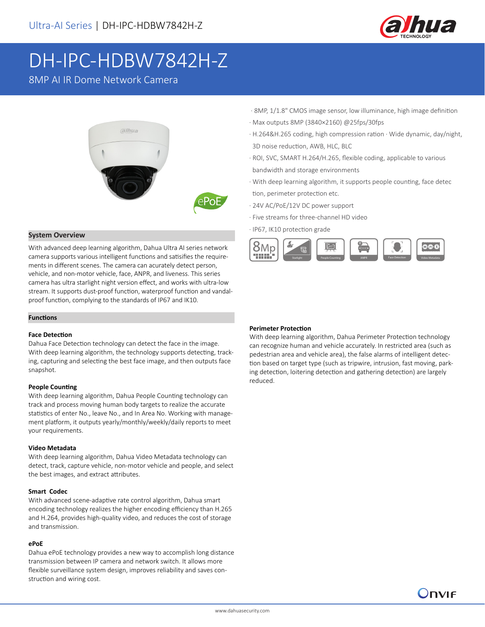

# DH-IPC-HDBW7842H-Z

8MP AI IR Dome Network Camera



#### **System Overview**

With advanced deep learning algorithm, Dahua Ultra AI series network camera supports various intelligent functions and satisifies the requirements in different scenes. The camera can acurately detect person, vehicle, and non-motor vehicle, face, ANPR, and liveness. This series camera has ultra starlight night version effect, and works with ultra-low stream. It supports dust-proof function, waterproof function and vandalproof function, complying to the standards of IP67 and IK10.

#### **Functions**

#### **Face Detection**

Dahua Face Detection technology can detect the face in the image. With deep learning algorithm, the technology supports detecting, tracking, capturing and selecting the best face image, and then outputs face snapshot.

#### **People Counting**

With deep learning algorithm, Dahua People Counting technology can track and process moving human body targets to realize the accurate statistics of enter No., leave No., and In Area No. Working with management platform, it outputs yearly/monthly/weekly/daily reports to meet your requirements.

#### **Video Metadata**

With deep learning algorithm, Dahua Video Metadata technology can detect, track, capture vehicle, non-motor vehicle and people, and select the best images, and extract attributes.

#### **Smart Codec**

With advanced scene-adaptive rate control algorithm, Dahua smart encoding technology realizes the higher encoding efficiency than H.265 and H.264, provides high-quality video, and reduces the cost of storage and transmission.

#### **ePoE**

Dahua ePoE technology provides a new way to accomplish long distance transmission between IP camera and network switch. It allows more flexible surveillance system design, improves reliability and saves construction and wiring cost.

- · 8MP, 1/1.8" CMOS image sensor, low illuminance, high image definition
- · Max outputs 8MP (3840×2160) @25fps/30fps
- · H.264&H.265 coding, high compression ration · Wide dynamic, day/night, 3D noise reduction, AWB, HLC, BLC
- · ROI, SVC, SMART H.264/H.265, flexible coding, applicable to various bandwidth and storage environments
- · With deep learning algorithm, it supports people counting, face detec tion, perimeter protection etc.
- · 24V AC/PoE/12V DC power support
- · Five streams for three-channel HD video
- · IP67, IK10 protection grade



#### **Perimeter Protection**

With deep learning algorithm, Dahua Perimeter Protection technology can recognize human and vehicle accurately. In restricted area (such as pedestrian area and vehicle area), the false alarms of intelligent detection based on target type (such as tripwire, intrusion, fast moving, parking detection, loitering detection and gathering detection) are largely reduced.

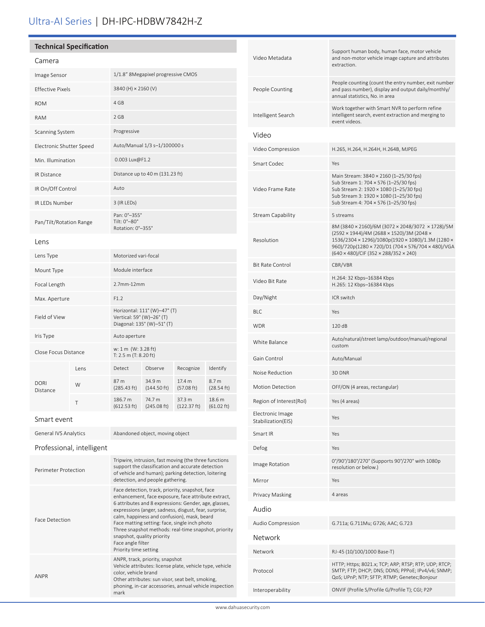# Ultra-AI Series | DH-IPC-HDBW7842H-Z

## **Technical Specification**

| Camera                   |      |                                                                                         |                                 |                       |                                |
|--------------------------|------|-----------------------------------------------------------------------------------------|---------------------------------|-----------------------|--------------------------------|
| Image Sensor             |      | 1/1.8" 8Megapixel progressive CMOS                                                      |                                 |                       |                                |
| <b>Effective Pixels</b>  |      | 3840 (H) × 2160 (V)                                                                     |                                 |                       |                                |
| <b>ROM</b>               |      | 4 GB                                                                                    |                                 |                       |                                |
| <b>RAM</b>               |      | 2 GB                                                                                    |                                 |                       |                                |
| Scanning System          |      | Progressive                                                                             |                                 |                       |                                |
| Electronic Shutter Speed |      | Auto/Manual 1/3 s-1/100000 s                                                            |                                 |                       |                                |
| Min. Illumination        |      | 0.003 Lux@F1.2                                                                          |                                 |                       |                                |
| <b>IR Distance</b>       |      | Distance up to 40 m (131.23 ft)                                                         |                                 |                       |                                |
| IR On/Off Control        |      | Auto                                                                                    |                                 |                       |                                |
| IR LEDs Number           |      | 3 (IR LEDs)                                                                             |                                 |                       |                                |
| Pan/Tilt/Rotation Range  |      | Pan: 0°-355°<br>Tilt: 0°-80°<br>Rotation: 0°-355°                                       |                                 |                       |                                |
| Lens                     |      |                                                                                         |                                 |                       |                                |
| Lens Type                |      | Motorized vari-focal                                                                    |                                 |                       |                                |
| Mount Type               |      | Module interface                                                                        |                                 |                       |                                |
| Focal Length             |      | 2.7mm-12mm                                                                              |                                 |                       |                                |
| Max. Aperture            |      | F1.2                                                                                    |                                 |                       |                                |
| Field of View            |      | Horizontal: 111° (W)-47° (T)<br>Vertical: 59° (W)-26° (T)<br>Diagonal: 135° (W)-51° (T) |                                 |                       |                                |
| Iris Type                |      | Auto aperture                                                                           |                                 |                       |                                |
| Close Focus Distance     |      | w: 1 m (W: 3.28 ft)<br>T: $2.5 \text{ m}$ (T: $8.20 \text{ ft}$ )                       |                                 |                       |                                |
|                          | Lens | Detect                                                                                  | Observe                         | Recognize             | Identify                       |
| <b>DORI</b><br>Distance  | W    | 87 m<br>(285.43 ft)                                                                     | 34.9 m<br>$(144.50 \text{ ft})$ | 17.4 m<br>(57.08 ft)  | 8.7 <sub>m</sub><br>(28.54 ft) |
|                          | Τ    | 186.7 m<br>(612.53 ft)                                                                  | 74.7 m<br>(245.08 ft)           | 37.3 m<br>(122.37 ft) | 18.6 m<br>$(61.02 \text{ ft})$ |
| Smart event              |      |                                                                                         |                                 |                       |                                |

General IVS Analytics Abandoned object, moving object

Professional, intelligent

| Perimeter Protection  | Tripwire, intrusion, fast moving (the three functions<br>support the classification and accurate detection<br>of vehicle and human); parking detection, loitering<br>detection, and people gathering.                                                                                                                                                                                                                                                        |
|-----------------------|--------------------------------------------------------------------------------------------------------------------------------------------------------------------------------------------------------------------------------------------------------------------------------------------------------------------------------------------------------------------------------------------------------------------------------------------------------------|
| <b>Face Detection</b> | Face detection, track, priority, snapshot, face<br>enhancement, face exposure, face attribute extract,<br>6 attributes and 8 expressions: Gender, age, glasses,<br>expressions (anger, sadness, disgust, fear, surprise,<br>calm, happiness and confusion), mask, beard<br>Face matting setting: face, single inch photo<br>Three snapshot methods: real-time snapshot, priority<br>snapshot, quality priority<br>Face angle filter<br>Priority time setting |
| ANPR                  | ANPR, track, priority, snapshot<br>Vehicle attributes: license plate, vehicle type, vehicle<br>color, vehicle brand<br>Other attributes: sun visor, seat belt, smoking,<br>phoning, in-car accessories, annual vehicle inspection<br>mark                                                                                                                                                                                                                    |

| Video Metadata                         | Support human body, human face, motor vehicle<br>and non-motor vehicle image capture and attributes<br>extraction.                                                                                                                                |  |  |
|----------------------------------------|---------------------------------------------------------------------------------------------------------------------------------------------------------------------------------------------------------------------------------------------------|--|--|
| People Counting                        | People counting (count the entry number, exit number<br>and pass number), display and output daily/monthly/<br>annual statistics. No. in area                                                                                                     |  |  |
| Intelligent Search                     | Work together with Smart NVR to perform refine<br>intelligent search, event extraction and merging to<br>event videos.                                                                                                                            |  |  |
| Video                                  |                                                                                                                                                                                                                                                   |  |  |
| Video Compression                      | H.265, H.264, H.264H, H.264B, MJPEG                                                                                                                                                                                                               |  |  |
| Smart Codec                            | Yes                                                                                                                                                                                                                                               |  |  |
| Video Frame Rate                       | Main Stream: 3840 × 2160 (1–25/30 fps)<br>Sub Stream 1: 704 × 576 (1-25/30 fps)<br>Sub Stream 2: 1920 × 1080 (1-25/30 fps)<br>Sub Stream 3: 1920 × 1080 (1-25/30 fps)<br>Sub Stream 4: 704 × 576 (1-25/30 fps)                                    |  |  |
| Stream Capability                      | 5 streams                                                                                                                                                                                                                                         |  |  |
| Resolution                             | 8M (3840 × 2160)/6M (3072 × 2048/3072 × 1728)/5M<br>(2592 × 1944)/4M (2688 × 1520)/3M (2048 ×<br>1536/2304 × 1296)/1080p(1920 × 1080)/1.3M (1280 ×<br>960)/720p(1280 × 720)/D1 (704 × 576/704 × 480)/VGA<br>(640 × 480)/CIF (352 × 288/352 × 240) |  |  |
| <b>Bit Rate Control</b>                | CBR/VBR                                                                                                                                                                                                                                           |  |  |
| Video Bit Rate                         | H.264: 32 Kbps-16384 Kbps<br>H.265: 12 Kbps-16384 Kbps                                                                                                                                                                                            |  |  |
| Day/Night                              | ICR switch                                                                                                                                                                                                                                        |  |  |
| BLC                                    | Yes                                                                                                                                                                                                                                               |  |  |
| WDR                                    | 120 dB                                                                                                                                                                                                                                            |  |  |
| White Balance                          | Auto/natural/street lamp/outdoor/manual/regional<br>custom                                                                                                                                                                                        |  |  |
| Gain Control                           | Auto/Manual                                                                                                                                                                                                                                       |  |  |
| Noise Reduction                        | 3D DNR                                                                                                                                                                                                                                            |  |  |
| <b>Motion Detection</b>                | OFF/ON (4 areas, rectangular)                                                                                                                                                                                                                     |  |  |
| Region of Interest(RoI)                | Yes (4 areas)                                                                                                                                                                                                                                     |  |  |
| Electronic Image<br>Stabilization(EIS) | Yes                                                                                                                                                                                                                                               |  |  |
| Smart IR                               | Yes                                                                                                                                                                                                                                               |  |  |
| Defog                                  | Yes                                                                                                                                                                                                                                               |  |  |
| Image Rotation                         | 0°/90°/180°/270° (Supports 90°/270° with 1080p<br>resolution or below.)                                                                                                                                                                           |  |  |
| Mirror                                 | Yes                                                                                                                                                                                                                                               |  |  |
| Privacy Masking                        | 4 areas                                                                                                                                                                                                                                           |  |  |
| Audio                                  |                                                                                                                                                                                                                                                   |  |  |
| Audio Compression                      | G.711a; G.711Mu; G726; AAC; G.723                                                                                                                                                                                                                 |  |  |
| Network                                |                                                                                                                                                                                                                                                   |  |  |
| Network                                | RJ-45 (10/100/1000 Base-T)                                                                                                                                                                                                                        |  |  |
| Protocol                               | HTTP; Https; 8021.x; TCP; ARP; RTSP; RTP; UDP; RTCP;<br>SMTP; FTP; DHCP; DNS; DDNS; PPPoE; IPv4/v6; SNMP;<br>QoS; UPnP; NTP; SFTP; RTMP; Genetec;Bonjour                                                                                          |  |  |
| Interoperability                       | ONVIF (Profile S/Profile G/Profile T); CGI; P2P                                                                                                                                                                                                   |  |  |
|                                        |                                                                                                                                                                                                                                                   |  |  |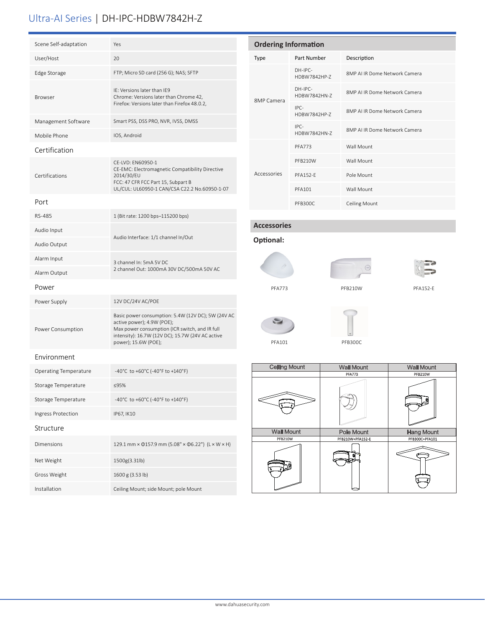## Ultra-AI Series | DH-IPC-HDBW7842H-Z

| Scene Self-adaptation        | Yes                                                                                                                                                                                                            |  |
|------------------------------|----------------------------------------------------------------------------------------------------------------------------------------------------------------------------------------------------------------|--|
| User/Host                    | 20                                                                                                                                                                                                             |  |
| Edge Storage                 | FTP; Micro SD card (256 G); NAS; SFTP                                                                                                                                                                          |  |
| <b>Browser</b>               | IE: Versions later than IE9<br>Chrome: Versions later than Chrome 42,<br>Firefox: Versions later than Firefox 48.0.2,                                                                                          |  |
| Management Software          | Smart PSS, DSS PRO, NVR, IVSS, DMSS                                                                                                                                                                            |  |
| Mobile Phone                 | IOS, Android                                                                                                                                                                                                   |  |
| Certification                |                                                                                                                                                                                                                |  |
| Certifications               | CE-LVD: EN60950-1<br>CE-EMC: Electromagnetic Compatibility Directive<br>2014/30/EU<br>FCC: 47 CFR FCC Part 15, Subpart B<br>UL/CUL: UL60950-1 CAN/CSA C22.2 No.60950-1-07                                      |  |
| Port                         |                                                                                                                                                                                                                |  |
| RS-485                       | 1 (Bit rate: 1200 bps-115200 bps)                                                                                                                                                                              |  |
| Audio Input                  | Audio Interface: 1/1 channel In/Out                                                                                                                                                                            |  |
| Audio Output                 |                                                                                                                                                                                                                |  |
| Alarm Input                  | 3 channel In: 5mA 5V DC                                                                                                                                                                                        |  |
| Alarm Output                 | 2 channel Out: 1000mA 30V DC/500mA 50V AC                                                                                                                                                                      |  |
| Power                        |                                                                                                                                                                                                                |  |
| Power Supply                 | 12V DC/24V AC/POE                                                                                                                                                                                              |  |
| Power Consumption            | Basic power consumption: 5.4W (12V DC); 5W (24V AC<br>active power); 4.9W (POE);<br>Max power consumption (ICR switch, and IR full<br>intensity): 16.7W (12V DC); 15.7W (24V AC active<br>power); 15.6W (POE); |  |
| Environment                  |                                                                                                                                                                                                                |  |
| <b>Operating Temperature</b> | -40°C to +60°C (-40°F to +140°F)                                                                                                                                                                               |  |
| Storage Temperature          | ≤95%                                                                                                                                                                                                           |  |
| Storage Temperature          | -40°C to +60°C (-40°F to +140°F)                                                                                                                                                                               |  |
| Ingress Protection           | IP67, IK10                                                                                                                                                                                                     |  |
| Structure                    |                                                                                                                                                                                                                |  |
| <b>Dimensions</b>            | 129.1 mm × 0157.9 mm (5.08" × 06.22") (L × W × H)                                                                                                                                                              |  |
| Net Weight                   | 1500g(3.31lb)                                                                                                                                                                                                  |  |
| Gross Weight                 | 1600 g (3.53 lb)                                                                                                                                                                                               |  |
| Installation                 | Ceiling Mount; side Mount; pole Mount                                                                                                                                                                          |  |

| <b>Ordering Information</b> |                           |                              |  |  |
|-----------------------------|---------------------------|------------------------------|--|--|
| <b>Type</b>                 | Part Number               | Description                  |  |  |
| 8MP Camera                  | $DH-IPC-$<br>HDBW7842HP-7 | 8MP ALIR Dome Network Camera |  |  |
|                             | $DH-IPC-$<br>HDBW7842HN-7 | 8MP ALIR Dome Network Camera |  |  |
|                             | IPC-<br>HDBW7842HP-7      | 8MP ALIR Dome Network Camera |  |  |
|                             | $IPC-$<br>HDBW7842HN-7    | 8MP ALIR Dome Network Camera |  |  |
| Accessories                 | <b>PFA773</b>             | Wall Mount                   |  |  |
|                             | PFB210W                   | Wall Mount                   |  |  |
|                             | <b>PFA152-E</b>           | Pole Mount                   |  |  |
|                             | <b>PFA101</b>             | Wall Mount                   |  |  |
|                             | <b>PFB300C</b>            | <b>Ceiling Mount</b>         |  |  |

### **Accessories**















| <b>Ceiling Mount</b> | <b>Wall Mount</b> | <b>Wall Mount</b> |  |
|----------------------|-------------------|-------------------|--|
|                      | <b>PFA773</b>     | <b>PFB210W</b>    |  |
|                      |                   |                   |  |
| <b>Wall Mount</b>    | <b>Pole Mount</b> | <b>Hang Mount</b> |  |
| <b>PFB210W</b>       | PFB210W+PFA152-E  | PFB300C+PFA101    |  |
|                      |                   |                   |  |